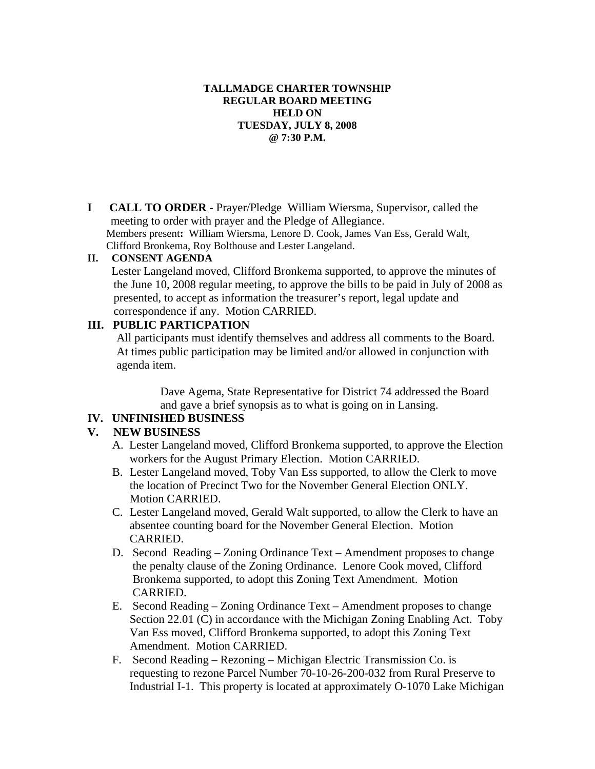### **TALLMADGE CHARTER TOWNSHIP REGULAR BOARD MEETING HELD ON TUESDAY, JULY 8, 2008 @ 7:30 P.M.**

**I CALL TO ORDER** - Prayer/Pledge William Wiersma, Supervisor, called the meeting to order with prayer and the Pledge of Allegiance. Members present**:** William Wiersma, Lenore D. Cook, James Van Ess, Gerald Walt, Clifford Bronkema, Roy Bolthouse and Lester Langeland.

#### **II. CONSENT AGENDA**

 Lester Langeland moved, Clifford Bronkema supported, to approve the minutes of the June 10, 2008 regular meeting, to approve the bills to be paid in July of 2008 as presented, to accept as information the treasurer's report, legal update and correspondence if any. Motion CARRIED.

## **III. PUBLIC PARTICPATION**

 All participants must identify themselves and address all comments to the Board. At times public participation may be limited and/or allowed in conjunction with agenda item.

> Dave Agema, State Representative for District 74 addressed the Board and gave a brief synopsis as to what is going on in Lansing.

### **IV. UNFINISHED BUSINESS**

### **V. NEW BUSINESS**

- A. Lester Langeland moved, Clifford Bronkema supported, to approve the Election workers for the August Primary Election. Motion CARRIED.
- B. Lester Langeland moved, Toby Van Ess supported, to allow the Clerk to move the location of Precinct Two for the November General Election ONLY. Motion CARRIED.
- C. Lester Langeland moved, Gerald Walt supported, to allow the Clerk to have an absentee counting board for the November General Election. Motion CARRIED.
- D. Second Reading Zoning Ordinance Text Amendment proposes to change the penalty clause of the Zoning Ordinance. Lenore Cook moved, Clifford Bronkema supported, to adopt this Zoning Text Amendment. Motion CARRIED.
- E. Second Reading Zoning Ordinance Text Amendment proposes to change Section 22.01 (C) in accordance with the Michigan Zoning Enabling Act. Toby Van Ess moved, Clifford Bronkema supported, to adopt this Zoning Text Amendment. Motion CARRIED.
- F. Second Reading Rezoning Michigan Electric Transmission Co. is requesting to rezone Parcel Number 70-10-26-200-032 from Rural Preserve to Industrial I-1. This property is located at approximately O-1070 Lake Michigan